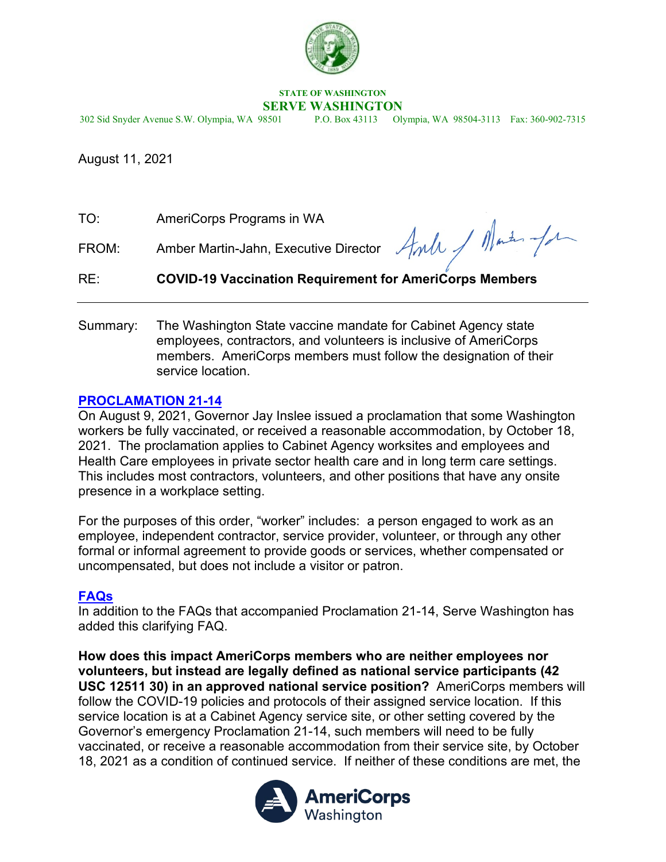

# **STATE OF WASHINGTON**

**SERVE WASHINGTON**<br>302 Sid Snyder Avenue S.W. Olympia, WA 98501 P.O. Box 43113 Oly P.O. Box 43113 Olympia, WA 98504-3113 Fax: 360-902-7315

August 11, 2021

| TO: | AmeriCorps Programs in WA |  |
|-----|---------------------------|--|
|     |                           |  |

FROM: Amber Martin-Jahn, Executive Director

### RE: **COVID-19 Vaccination Requirement for AmeriCorps Members**

Summary: The Washington State vaccine mandate for Cabinet Agency state employees, contractors, and volunteers is inclusive of AmeriCorps members. AmeriCorps members must follow the designation of their service location.

## **[PROCLAMATION 21-14](https://www.governor.wa.gov/sites/default/files/proclamations/21-14%20-%20COVID-19%20Vax%20Washington%20%28tmp%29.pdf?utm_medium=email&utm_source=govdeliveryhttps://www.governor.wa.gov/sites/default/files/proclamations/21-14%20-%20COVID-19%20Vax%20Washington%20%28tmp%29.pdf?utm_medium=email&utm_source=govdelivery)**

On August 9, 2021, Governor Jay Inslee issued a proclamation that some Washington workers be fully vaccinated, or received a reasonable accommodation, by October 18, 2021. The proclamation applies to Cabinet Agency worksites and employees and Health Care employees in private sector health care and in long term care settings. This includes most contractors, volunteers, and other positions that have any onsite presence in a workplace setting.

For the purposes of this order, "worker" includes: a person engaged to work as an employee, independent contractor, service provider, volunteer, or through any other formal or informal agreement to provide goods or services, whether compensated or uncompensated, but does not include a visitor or patron.

### **[FAQs](https://www.governor.wa.gov/sites/default/files/Vax%20Mandate%20FAQ.pdf)**

In addition to the FAQs that accompanied Proclamation 21-14, Serve Washington has added this clarifying FAQ.

**How does this impact AmeriCorps members who are neither employees nor volunteers, but instead are legally defined as national service participants (42 USC 12511 30) in an approved national service position?** AmeriCorps members will follow the COVID-19 policies and protocols of their assigned service location. If this service location is at a Cabinet Agency service site, or other setting covered by the Governor's emergency Proclamation 21-14, such members will need to be fully vaccinated, or receive a reasonable accommodation from their service site, by October 18, 2021 as a condition of continued service. If neither of these conditions are met, the